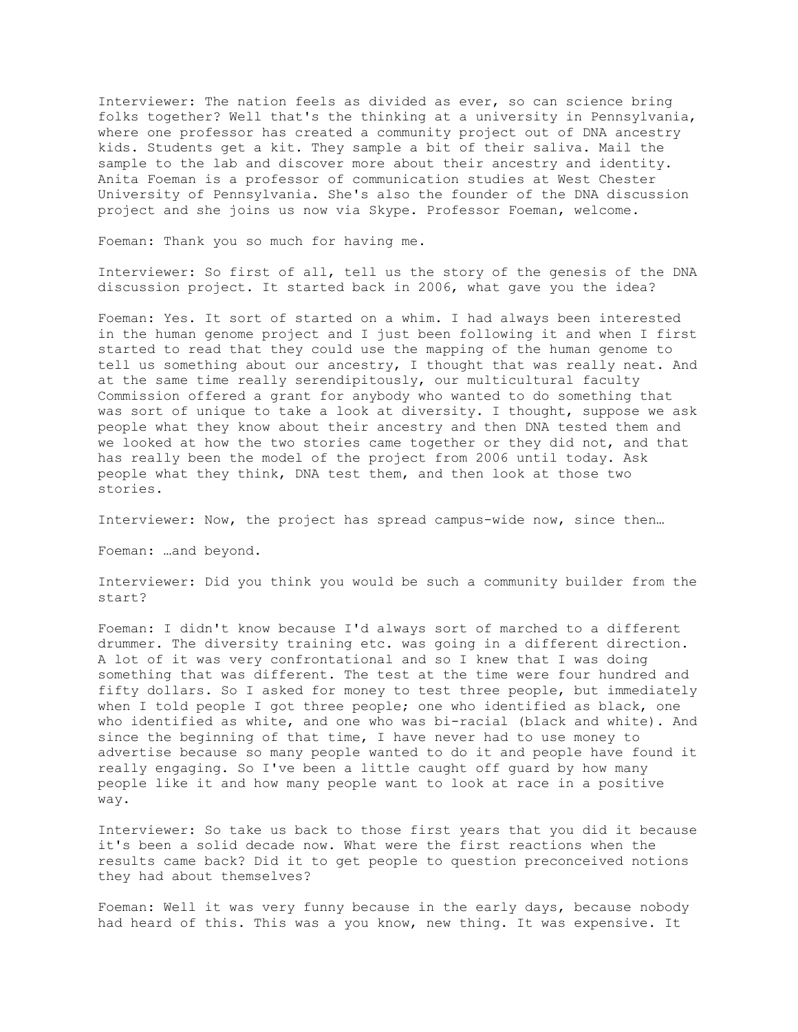Interviewer: The nation feels as divided as ever, so can science bring folks together? Well that's the thinking at a university in Pennsylvania, where one professor has created a community project out of DNA ancestry kids. Students get a kit. They sample a bit of their saliva. Mail the sample to the lab and discover more about their ancestry and identity. Anita Foeman is a professor of communication studies at West Chester University of Pennsylvania. She's also the founder of the DNA discussion project and she joins us now via Skype. Professor Foeman, welcome.

Foeman: Thank you so much for having me.

Interviewer: So first of all, tell us the story of the genesis of the DNA discussion project. It started back in 2006, what gave you the idea?

Foeman: Yes. It sort of started on a whim. I had always been interested in the human genome project and I just been following it and when I first started to read that they could use the mapping of the human genome to tell us something about our ancestry, I thought that was really neat. And at the same time really serendipitously, our multicultural faculty Commission offered a grant for anybody who wanted to do something that was sort of unique to take a look at diversity. I thought, suppose we ask people what they know about their ancestry and then DNA tested them and we looked at how the two stories came together or they did not, and that has really been the model of the project from 2006 until today. Ask people what they think, DNA test them, and then look at those two stories.

Interviewer: Now, the project has spread campus-wide now, since then…

Foeman: …and beyond.

Interviewer: Did you think you would be such a community builder from the start?

Foeman: I didn't know because I'd always sort of marched to a different drummer. The diversity training etc. was going in a different direction. A lot of it was very confrontational and so I knew that I was doing something that was different. The test at the time were four hundred and fifty dollars. So I asked for money to test three people, but immediately when I told people I got three people; one who identified as black, one who identified as white, and one who was bi-racial (black and white). And since the beginning of that time, I have never had to use money to advertise because so many people wanted to do it and people have found it really engaging. So I've been a little caught off guard by how many people like it and how many people want to look at race in a positive way.

Interviewer: So take us back to those first years that you did it because it's been a solid decade now. What were the first reactions when the results came back? Did it to get people to question preconceived notions they had about themselves?

Foeman: Well it was very funny because in the early days, because nobody had heard of this. This was a you know, new thing. It was expensive. It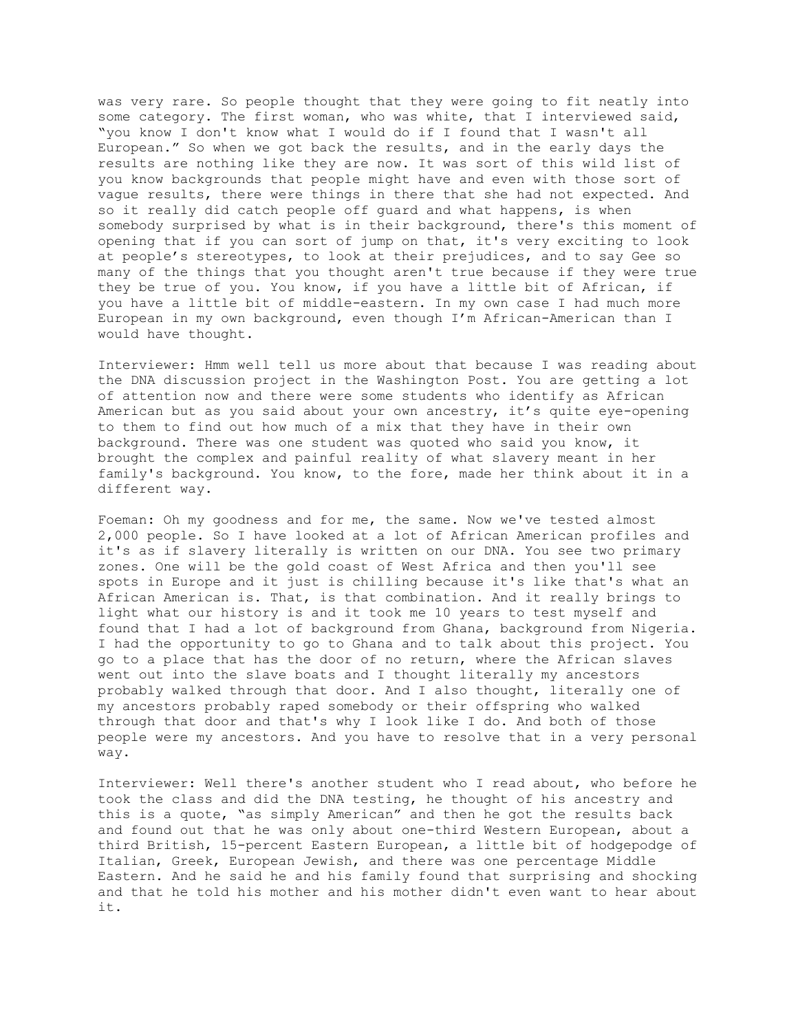was very rare. So people thought that they were going to fit neatly into some category. The first woman, who was white, that I interviewed said, "you know I don't know what I would do if I found that I wasn't all European." So when we got back the results, and in the early days the results are nothing like they are now. It was sort of this wild list of you know backgrounds that people might have and even with those sort of vague results, there were things in there that she had not expected. And so it really did catch people off guard and what happens, is when somebody surprised by what is in their background, there's this moment of opening that if you can sort of jump on that, it's very exciting to look at people's stereotypes, to look at their prejudices, and to say Gee so many of the things that you thought aren't true because if they were true they be true of you. You know, if you have a little bit of African, if you have a little bit of middle-eastern. In my own case I had much more European in my own background, even though I'm African-American than I would have thought.

Interviewer: Hmm well tell us more about that because I was reading about the DNA discussion project in the Washington Post. You are getting a lot of attention now and there were some students who identify as African American but as you said about your own ancestry, it's quite eye-opening to them to find out how much of a mix that they have in their own background. There was one student was quoted who said you know, it brought the complex and painful reality of what slavery meant in her family's background. You know, to the fore, made her think about it in a different way.

Foeman: Oh my goodness and for me, the same. Now we've tested almost 2,000 people. So I have looked at a lot of African American profiles and it's as if slavery literally is written on our DNA. You see two primary zones. One will be the gold coast of West Africa and then you'll see spots in Europe and it just is chilling because it's like that's what an African American is. That, is that combination. And it really brings to light what our history is and it took me 10 years to test myself and found that I had a lot of background from Ghana, background from Nigeria. I had the opportunity to go to Ghana and to talk about this project. You go to a place that has the door of no return, where the African slaves went out into the slave boats and I thought literally my ancestors probably walked through that door. And I also thought, literally one of my ancestors probably raped somebody or their offspring who walked through that door and that's why I look like I do. And both of those people were my ancestors. And you have to resolve that in a very personal way.

Interviewer: Well there's another student who I read about, who before he took the class and did the DNA testing, he thought of his ancestry and this is a quote, "as simply American" and then he got the results back and found out that he was only about one-third Western European, about a third British, 15-percent Eastern European, a little bit of hodgepodge of Italian, Greek, European Jewish, and there was one percentage Middle Eastern. And he said he and his family found that surprising and shocking and that he told his mother and his mother didn't even want to hear about it.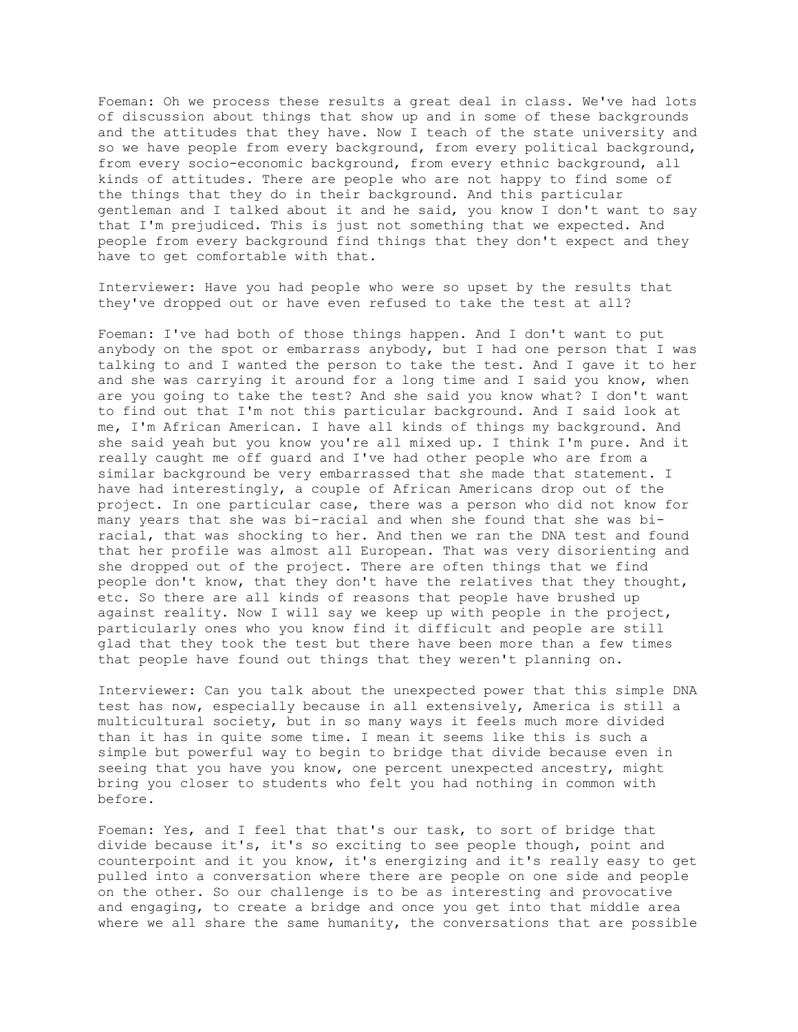Foeman: Oh we process these results a great deal in class. We've had lots of discussion about things that show up and in some of these backgrounds and the attitudes that they have. Now I teach of the state university and so we have people from every background, from every political background, from every socio-economic background, from every ethnic background, all kinds of attitudes. There are people who are not happy to find some of the things that they do in their background. And this particular gentleman and I talked about it and he said, you know I don't want to say that I'm prejudiced. This is just not something that we expected. And people from every background find things that they don't expect and they have to get comfortable with that.

Interviewer: Have you had people who were so upset by the results that they've dropped out or have even refused to take the test at all?

Foeman: I've had both of those things happen. And I don't want to put anybody on the spot or embarrass anybody, but I had one person that I was talking to and I wanted the person to take the test. And I gave it to her and she was carrying it around for a long time and I said you know, when are you going to take the test? And she said you know what? I don't want to find out that I'm not this particular background. And I said look at me, I'm African American. I have all kinds of things my background. And she said yeah but you know you're all mixed up. I think I'm pure. And it really caught me off guard and I've had other people who are from a similar background be very embarrassed that she made that statement. I have had interestingly, a couple of African Americans drop out of the project. In one particular case, there was a person who did not know for many years that she was bi-racial and when she found that she was biracial, that was shocking to her. And then we ran the DNA test and found that her profile was almost all European. That was very disorienting and she dropped out of the project. There are often things that we find people don't know, that they don't have the relatives that they thought, etc. So there are all kinds of reasons that people have brushed up against reality. Now I will say we keep up with people in the project, particularly ones who you know find it difficult and people are still glad that they took the test but there have been more than a few times that people have found out things that they weren't planning on.

Interviewer: Can you talk about the unexpected power that this simple DNA test has now, especially because in all extensively, America is still a multicultural society, but in so many ways it feels much more divided than it has in quite some time. I mean it seems like this is such a simple but powerful way to begin to bridge that divide because even in seeing that you have you know, one percent unexpected ancestry, might bring you closer to students who felt you had nothing in common with before.

Foeman: Yes, and I feel that that's our task, to sort of bridge that divide because it's, it's so exciting to see people though, point and counterpoint and it you know, it's energizing and it's really easy to get pulled into a conversation where there are people on one side and people on the other. So our challenge is to be as interesting and provocative and engaging, to create a bridge and once you get into that middle area where we all share the same humanity, the conversations that are possible